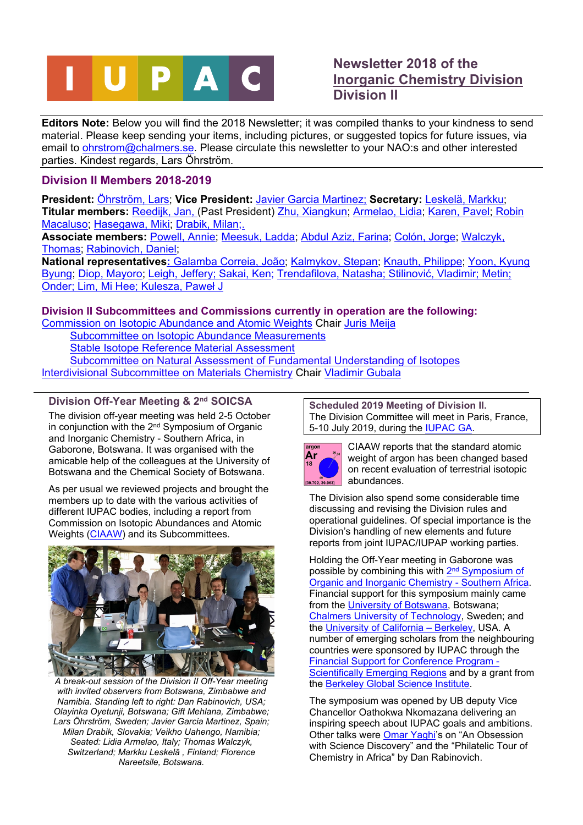

# **Newsletter 2018 of the [Inorganic Chemistry Division](https://iupac.org/who-we-are/divisions/division-details/?body_code=200) Division II**

**Editors Note:** Below you will find the 2018 Newsletter; it was compiled thanks to your kindness to send material. Please keep sending your items, including pictures, or suggested topics for future issues, via email to [ohrstrom@chalmers.se.](mailto:ohrstrom@chalmers.se) Please circulate this newsletter to your NAO:s and other interested parties. Kindest regards, Lars Öhrström.

## **Division II Members 2018-2019**

**President:** [Öhrström, Lars;](https://iupac.org/member/lars-ohrstr/) **Vice President:** [Javier Garcia Martinez](https://iupac.org/member/javier-garc/); **Secretary:** [Leskelä, Markku](https://iupac.org/member/markku-leskel/); **Titular members:** [Reedijk, Jan](https://iupac.org/member/jan-reedijk/), (Past President) [Zhu, Xiangkun](https://iupac.org/member/xiangkun-zhu/); [Armelao, Lidia;](https://iupac.org/member/lidia-armelao/) [Karen, Pavel;](https://iupac.org/member/pavel-karen/) [Robin](https://iupac.org/member/robin-macaluso/)  [Macaluso;](https://iupac.org/member/robin-macaluso/) [Hasegawa, Miki](https://iupac.org/member/miki-hasegawa/); [Drabik, Milan;](https://iupac.org/member/milan-dr/).

**Associate members:** [Powell, Annie;](https://iupac.org/member/annie-powell/) [Meesuk, Ladda](https://iupac.org/member/ladda-meesuk/); [Abdul Aziz, Farina;](https://iupac.org/member/yang-abdul-aziz/) [Colón, Jorge](https://iupac.org/member/jorge-col/); [Walczyk,](https://iupac.org/member/thomas-walczyk/)  [Thomas](https://iupac.org/member/thomas-walczyk/); [Rabinovich, Daniel](https://iupac.org/member/daniel-rabinovich/);

**National representatives:** [Galamba Correia, João;](https://iupac.org/member/jo-galamba-correia/) [Kalmykov, Stepan;](https://iupac.org/search-results/member/kalmyko/) [Knauth, Philippe;](https://iupac.org/member/philippe-knauth/) [Yoon, Kyung](https://iupac.org/member/kyung-yoon/)  [Byung;](https://iupac.org/member/kyung-yoon/) [Diop, Mayoro](https://iupac.org/member/mayoro-diop/); [Leigh, Jeffery](https://iupac.org/member/g-leigh/); [Sakai, Ken;](https://iupac.org/member/ken-sakai/) [Trendafilova, Natasha;](https://iupac.org/member/natasha-trendafilova/) [Stilinović,](https://iupac.org/member/vladimir-stilinovic/) Vladimir; [Metin;](https://iupac.org/member/onder-metin/)  [Onder](https://iupac.org/member/onder-metin/); [Lim, Mi Hee;](https://iupac.org/member/mi-hee-lim/) [Kulesza,](https://iupac.org/member/pawel-j-kulesza/) Paweł J

## **Division II Subcommittees and Commissions currently in operation are the following:**

[Commission on Isotopic Abundance and Atomic Weights](https://iupac.org/who-we-are/divisions/division-details/?body_code=210) Chair [Juris Meija](https://iupac.org/member/juris-meija/)

[Subcommittee on Isotopic Abundance Measurements](http://www.iupac.org/nc/home/about/members-and-committees/db/division-committee.html?tx_wfqbe_pi1%5Btitle%5D=Subcommittee%20on%20Isotopic%20Abundance%20Measurements&tx_wfqbe_pi1%5Bpublicid%5D=202)

[Stable Isotope Reference Material Assessment](http://www.iupac.org/nc/home/about/members-and-committees/db/division-committee.html?tx_wfqbe_pi1%5Btitle%5D=Subcommittee%20on%20Stable%20Isotope%20Reference%20Material%20Assessment&tx_wfqbe_pi1%5Bpublicid%5D=206) 

[Subcommittee on Natural Assessment of Fundamental Understanding of Isotopes](https://iupac.org/who-we-are/committees/committee-details/?body_code=211) [Interdivisional Subcommittee on Materials Chemistry](https://iupac.org/who-we-are/divisions/division-details/?body_code=205) Chair [Vladimir Gubala](https://iupac.org/member/vladimir-gubala/)

## **Division Off-Year Meeting & 2nd SOICSA**

The division off-year meeting was held 2-5 October in conjunction with the 2nd Symposium of Organic and Inorganic Chemistry - Southern Africa, in Gaborone, Botswana. It was organised with the amicable help of the colleagues at the University of Botswana and the Chemical Society of Botswana.

As per usual we reviewed projects and brought the members up to date with the various activities of different IUPAC bodies, including a report from Commission on Isotopic Abundances and Atomic Weights ([CIAAW\)](http://www.ciaaw.org/) and its Subcommittees.



*A break-out session of the Division II Off-Year meeting with invited observers from Botswana, Zimbabwe and Namibia. Standing left to right: Dan Rabinovich, USA; Olayinka Oyetunji, Botswana; Gift Mehlana, Zimbabwe; Lars Öhrström, Sweden; Javier Garcia Martinez, Spain; Milan Drabik, Slovakia; Veikho Uahengo, Namibia; Seated: Lidia Armelao, Italy; Thomas Walczyk, Switzerland; Markku Leskelä , Finland; Florence Nareetsile, Botswana.*

**Scheduled 2019 Meeting of Division II.** The Division Committee will meet in Paris, France, 5-10 July 2019, during the [IUPAC GA.](https://www.iupac2019.org/50th-general-assembly)



CIAAW reports that the standard atomic weight of argon has been changed based on recent evaluation of terrestrial isotopic abundances.

The Division also spend some considerable time discussing and revising the Division rules and operational guidelines. Of special importance is the Division's handling of new elements and future reports from joint IUPAC/IUPAP working parties.

Holding the Off-Year meeting in Gaborone was possible by combining this with 2<sup>nd</sup> Symposium of [Organic and Inorganic Chemistry - Southern Africa.](https://www.chalmers.se/en/conference/Organic_Inorganic_Chemistry/Pages/default.aspx) Financial support for this symposium mainly came from the [University of Botswana,](https://www.ub.bw/) Botswana; [Chalmers University of Technology,](https://www.chalmers.se/sv/Sidor/default.aspx) Sweden; and the [University of California – Berkeley](https://www.berkeley.edu/), USA. A number of emerging scholars from the neighbouring countries were sponsored by IUPAC through the [Financial Support for Conference Program -](https://iupac.org/what-we-do/conferences/)  [Scientifically Emerging Regions](https://iupac.org/what-we-do/conferences/) and by a grant from the [Berkeley Global Science Institute](https://globalscience.berkeley.edu/).

The symposium was opened by UB deputy Vice Chancellor Oathokwa Nkomazana delivering an inspiring speech about IUPAC goals and ambitions. Other talks were [Omar Yaghi'](http://yaghi.berkeley.edu/)s on "An Obsession with Science Discovery" and the "Philatelic Tour of Chemistry in Africa" by Dan Rabinovich.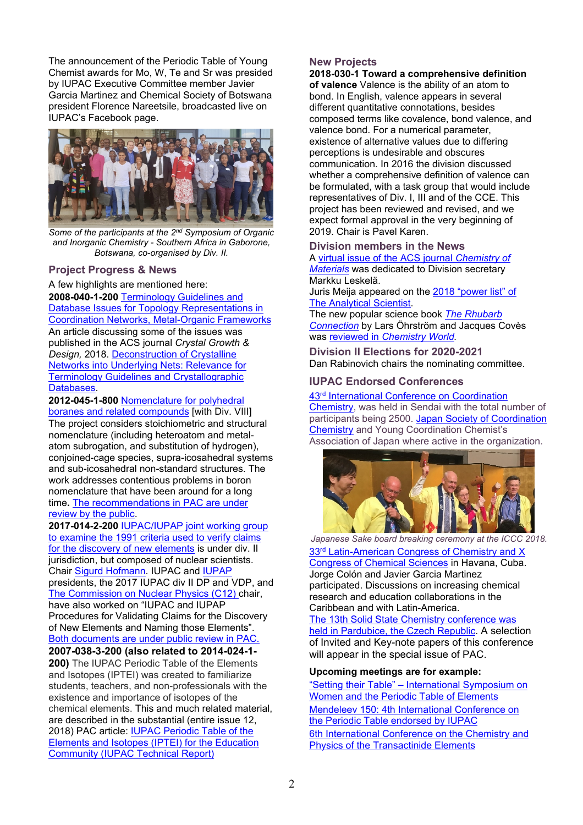The announcement of the Periodic Table of Young Chemist awards for Mo, W, Te and Sr was presided by IUPAC Executive Committee member Javier Garcia Martinez and Chemical Society of Botswana president Florence Nareetsile, broadcasted live on IUPAC's Facebook page.



*Some of the participants at the 2nd Symposium of Organic and Inorganic Chemistry - Southern Africa in Gaborone, Botswana, co-organised by Div. II.*

#### **Project Progress & News**

A few highlights are mentioned here: **2008-040-1-200** [Terminology Guidelines and](https://iupac.org/projects/project-details/?project_nr=2014-001-2-200)  [Database Issues for Topology](https://iupac.org/projects/project-details/?project_nr=2014-001-2-200) Representations in [Coordination Networks, Metal-Organic Frameworks](https://iupac.org/projects/project-details/?project_nr=2014-001-2-200) An article discussing some of the issues was published in the ACS journal *Crystal Growth & Design,* 2018. [Deconstruction of Crystalline](http://mslah.unist.ac.kr/wp-content/uploads/sites/384/2018/10/173_acs.cgd_.8b00126.pdf)  [Networks into Underlying Nets: Relevance for](http://mslah.unist.ac.kr/wp-content/uploads/sites/384/2018/10/173_acs.cgd_.8b00126.pdf)  [Terminology Guidelines and Crystallographic](http://mslah.unist.ac.kr/wp-content/uploads/sites/384/2018/10/173_acs.cgd_.8b00126.pdf)  [Databases](http://mslah.unist.ac.kr/wp-content/uploads/sites/384/2018/10/173_acs.cgd_.8b00126.pdf).

**2012-045-1-800** [Nomenclature for polyhedral](https://iupac.org/projects/project-details/?project_nr=2012-045-1-800)  [boranes and related compounds](https://iupac.org/projects/project-details/?project_nr=2012-045-1-800) [with Div. VIII] The project considers stoichiometric and structural nomenclature (including heteroatom and metalatom subrogation, and substitution of hydrogen), conjoined-cage species, supra-icosahedral systems and sub-icosahedral non-standard structures. The work addresses contentious problems in boron nomenclature that have been around for a long time**.** [The recommendations in PAC are under](https://iupac.org/recommendation/nomenclature-for-boranes-and-related-species/)  [review by the public](https://iupac.org/recommendation/nomenclature-for-boranes-and-related-species/).

**2017-014-2-200** [IUPAC/IUPAP joint working group](https://iupac.org/projects/project-details/?project_nr=2017-014-2-200)  [to examine the 1991 criteria used to verify claims](https://iupac.org/projects/project-details/?project_nr=2017-014-2-200)  [for the discovery of new elements](https://iupac.org/projects/project-details/?project_nr=2017-014-2-200) is under div. II jurisdiction, but composed of nuclear scientists. Chair [Sigurd Hofmann.](https://iupac.org/member/sigurd-hofmann) IUPAC and [IUPAP](http://iupap.org/) presidents, the 2017 IUPAC div II DP and VDP, and [The Commission on Nuclear Physics \(C12\) c](http://iupap.org/commissions/c12-nuclear-physics/)hair, have also worked on "IUPAC and IUPAP Procedures for Validating Claims for the Discovery of New Elements and Naming those Elements". [Both documents are under public review in PAC.](https://iupac.org/recommendation/on-the-discovery-of-new-elements-iupac-iupap-provisional-report/)

#### **2007-038-3-200 (also related to 2014-024-1-**

**200)** The IUPAC Periodic Table of the Elements and Isotopes (IPTEI) was created to familiarize students, teachers, and non-professionals with the existence and importance of isotopes of the chemical elements. This and much related material, are described in the substantial (entire issue 12, 2018) PAC article: [IUPAC Periodic Table of the](https://www.degruyter.com/view/j/pac.2018.90.issue-12/pac-2015-0703/pac-2015-0703.xml?format=INT)  [Elements and Isotopes \(IPTEI\) for the Education](https://www.degruyter.com/view/j/pac.2018.90.issue-12/pac-2015-0703/pac-2015-0703.xml?format=INT)  [Community \(IUPAC Technical Report\)](https://www.degruyter.com/view/j/pac.2018.90.issue-12/pac-2015-0703/pac-2015-0703.xml?format=INT)

### **New Projects**

**2018-030-1 Toward a comprehensive definition of valence** Valence is the ability of an atom to bond. In English, valence appears in several different quantitative connotations, besides composed terms like covalence, bond valence, and valence bond. For a numerical parameter, existence of alternative values due to differing perceptions is undesirable and obscures communication. In 2016 the division discussed whether a comprehensive definition of valence can be formulated, with a task group that would include representatives of Div. I, III and of the CCE. This project has been reviewed and revised, and we expect formal approval in the very beginning of 2019. Chair is Pavel Karen.

#### **Division members in the News**

A [virtual issue of the ACS journal](https://pubs.acs.org/doi/abs/10.1021/acs.chemmater.8b02742) *Chemistry of [Materials](https://pubs.acs.org/doi/abs/10.1021/acs.chemmater.8b02742)* was dedicated to Division secretary Markku Leskelä.

Juris Meija appeared on the [2018 "power list" of](https://theanalyticalscientist.com/power-list/2018/juris-meija)  [The Analytical Scientist](https://theanalyticalscientist.com/power-list/2018/juris-meija).

The new popular science book *[The Rhubarb](https://pubs.rsc.org/en/content/ebook/978-1-78801-094-8)  [Connection](https://pubs.rsc.org/en/content/ebook/978-1-78801-094-8)* by Lars Öhrström and Jacques Covès was reviewed in *[Chemistry World.](https://www.chemistryworld.com/review/the-rhubarb-connection-and-other-revelations-the-everyday-world-of-metal-ions/3009815.article)*

**Division II Elections for 2020-2021** Dan Rabinovich chairs the nominating committee.

### **IUPAC Endorsed Conferences**

#### 43rd [International Conference on Coordination](http://www.iccc2018.jp/)

[Chemistry,](http://www.iccc2018.jp/) was held in Sendai with the total number of participants being 2500. [Japan Society of Coordination](http://www.sakutai.jp/en)  [Chemistry](http://www.sakutai.jp/en) and Young Coordination Chemist's Association of Japan where active in the organization.



*Japanese Sake board breaking ceremony at the ICCC 2018.* 33<sup>rd</sup> Latin-American Congress of Chemistry and X [Congress of Chemical Sciences](http://www.chemistrycuba.com/scientific-program.pdf) in Havana, Cuba. Jorge Colón and Javier Garcia Martinez participated. Discussions on increasing chemical research and education collaborations in the Caribbean and with Latin-America.

[The 13th Solid State Chemistry conference was](http://www.ssc-conference.com/2018/)  [held in Pardubice, the Czech Republic](http://www.ssc-conference.com/2018/). A selection of Invited and Key-note papers of this conference will appear in the special issue of PAC.

### **Upcoming meetings are for example:**

["Setting their Table" – International Symposium on](https://iupac.org/event/setting-their-table-international-symposium-on-women-and-the-periodic-table-of-elements/)  [Women and the Periodic Table of Elements](https://iupac.org/event/setting-their-table-international-symposium-on-women-and-the-periodic-table-of-elements/) [Mendeleev 150: 4th International Conference on](https://iupac.org/event/4th-international-conference-on-the-periodic-table-mendeleev-150/)  [the Periodic Table endorsed by IUPAC](https://iupac.org/event/4th-international-conference-on-the-periodic-table-mendeleev-150/) [6th International Conference on the Chemistry and](https://iupac.org/event/6th-international-conference-on-the-chemistry-and-physics-of-the-transactinide-elements-tan19/)  [Physics of the Transactinide Elements](https://iupac.org/event/6th-international-conference-on-the-chemistry-and-physics-of-the-transactinide-elements-tan19/)